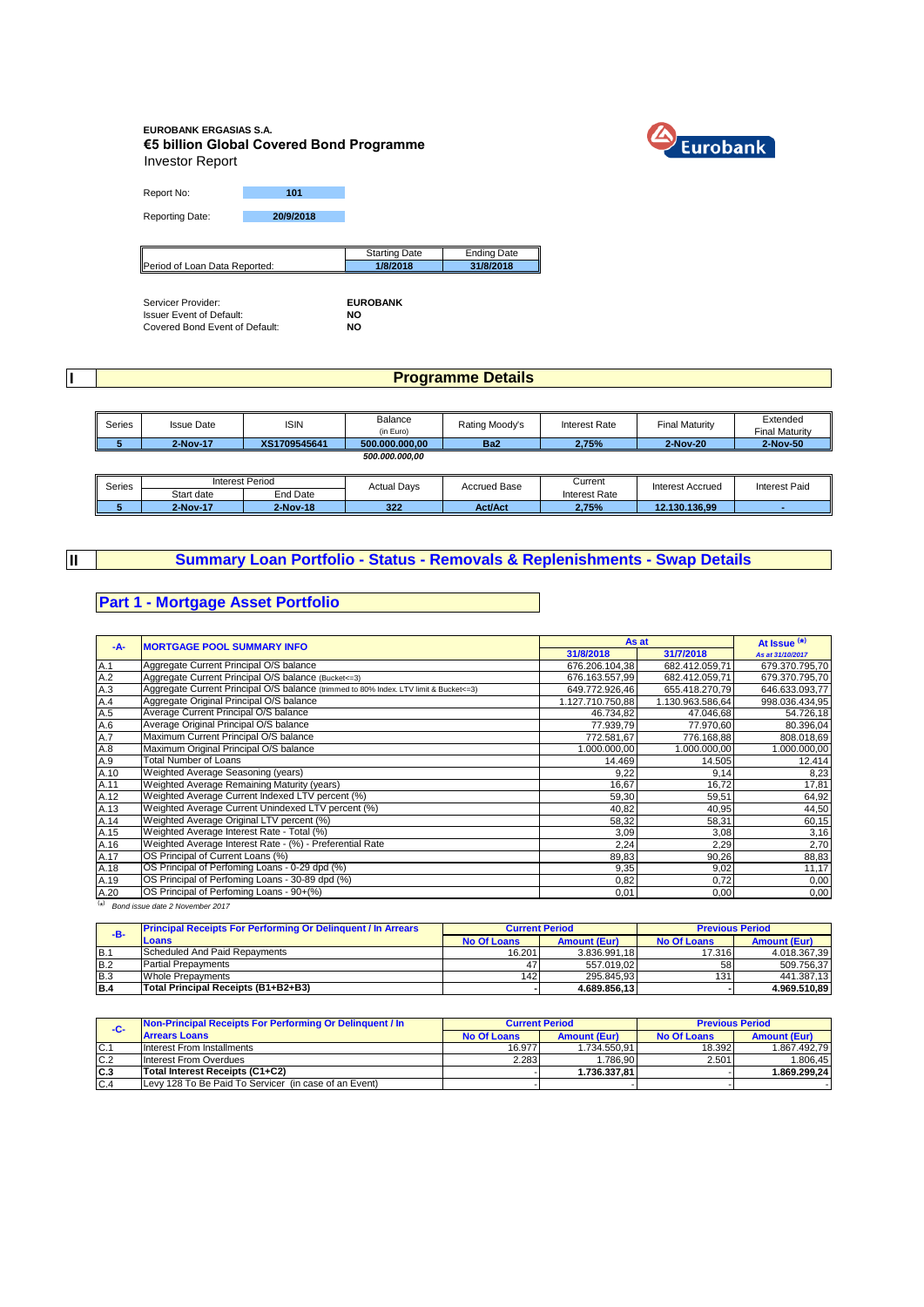#### **EUROBANK ERGASIAS S.A. €5 billion Global Covered Bond Programme** Investor Report



Report No: **101** 

Reporting Date: **20/9/2018**

|                               | Starting Date | Ending Date |
|-------------------------------|---------------|-------------|
| Period of Loan Data Reported: | 1/8/2018      | 31/8/2018   |

Servicer Provider: **EUROBANK** Issuer Event of Default: **NO** Covered Bond Event of Default: **NO**

**I**

**II**

### **Programme Details**

| Series | <b>Issue Date</b> | <b>ISIN</b>  | Balance        | Rating Moody's  | <b>Interest Rate</b> | <b>Final Maturity</b> | Extended              |
|--------|-------------------|--------------|----------------|-----------------|----------------------|-----------------------|-----------------------|
|        |                   |              | (in Euro)      |                 |                      |                       | <b>Final Maturity</b> |
|        | 2-Nov-17          | XS1709545641 | 500.000.000.00 | Ba <sub>2</sub> | 2.75%                | 2-Nov-20              | 2-Nov-50              |
|        |                   |              | 500.000.000.00 |                 |                      |                       |                       |

| Series |            | Interest Period | <b>Actual Davs</b> | <b>Accrued Base</b> | Current       | Interest Accrued | <b>Interest Paid</b> |
|--------|------------|-----------------|--------------------|---------------------|---------------|------------------|----------------------|
|        | Start date | End Date        |                    |                     | Interest Rate |                  |                      |
|        | 2-Nov-17   | 2-Nov-18        | 322                | <b>Act/Act</b>      | 2,75%         | 12.130.136.99    |                      |

# **Summary Loan Portfolio - Status - Removals & Replenishments - Swap Details**

### **Part 1 - Mortgage Asset Portfolio**

|      |                                                                                       |                  | As at            | At Issue $(*)$   |
|------|---------------------------------------------------------------------------------------|------------------|------------------|------------------|
| -A-  | <b>MORTGAGE POOL SUMMARY INFO</b>                                                     | 31/8/2018        | 31/7/2018        | As at 31/10/2017 |
| A.1  | Aggregate Current Principal O/S balance                                               | 676.206.104,38   | 682.412.059,71   | 679.370.795,70   |
| A.2  | Aggregate Current Principal O/S balance (Bucket <= 3)                                 | 676.163.557,99   | 682.412.059,71   | 679.370.795,70   |
| A.3  | Aggregate Current Principal O/S balance (trimmed to 80% Index. LTV limit & Bucket<=3) | 649.772.926,46   | 655.418.270,79   | 646.633.093,77   |
| A.4  | Aggregate Original Principal O/S balance                                              | 1.127.710.750,88 | 1.130.963.586,64 | 998.036.434,95   |
| A.5  | Average Current Principal O/S balance                                                 | 46.734,82        | 47.046,68        | 54.726,18        |
| A.6  | Average Original Principal O/S balance                                                | 77.939.79        | 77.970,60        | 80.396,04        |
| A.7  | Maximum Current Principal O/S balance                                                 | 772.581,67       | 776.168,88       | 808.018,69       |
| A.8  | Maximum Original Principal O/S balance                                                | .000.000,00      | 1.000.000,00     | 1.000.000,00     |
| A.9  | <b>Total Number of Loans</b>                                                          | 14.469           | 14.505           | 12.414           |
| A.10 | Weighted Average Seasoning (years)                                                    | 9,22             | 9,14             | 8,23             |
| A.11 | Weighted Average Remaining Maturity (years)                                           | 16,67            | 16,72            | 17,81            |
| A.12 | Weighted Average Current Indexed LTV percent (%)                                      | 59,30            | 59,51            | 64,92            |
| A.13 | Weighted Average Current Unindexed LTV percent (%)                                    | 40,82            | 40,95            | 44,50            |
| A.14 | Weighted Average Original LTV percent (%)                                             | 58,32            | 58,31            | 60,15            |
| A.15 | Weighted Average Interest Rate - Total (%)                                            | 3,09             | 3,08             | 3,16             |
| A.16 | Weighted Average Interest Rate - (%) - Preferential Rate                              | 2,24             | 2,29             | 2,70             |
| A.17 | OS Principal of Current Loans (%)                                                     | 89,83            | 90,26            | 88,83            |
| A.18 | OS Principal of Perfoming Loans - 0-29 dpd (%)                                        | 9,35             | 9,02             | 11,17            |
| A.19 | OS Principal of Perfoming Loans - 30-89 dpd (%)                                       | 0,82             | 0,72             | 0,00             |
| A.20 | OS Principal of Perfoming Loans - 90+(%)                                              | 0,01             | 0,00             | 0,00             |

( \* ) *Bond issue date 2 November 2017*

| $-B-$      | <b>Principal Receipts For Performing Or Delinquent / In Arrears</b> | <b>Current Period</b> |                     | <b>Previous Period</b> |                     |
|------------|---------------------------------------------------------------------|-----------------------|---------------------|------------------------|---------------------|
|            | Loans                                                               | No Of Loans           | <b>Amount (Eur)</b> | No Of Loans            | <b>Amount (Eur)</b> |
| IB.        | Scheduled And Paid Repayments                                       | 16.201                | 3.836.991.18        | 17.316                 | 4.018.367.39        |
| <b>B.2</b> | <b>Partial Prepayments</b>                                          | 47                    | 557.019.02          | 58                     | 509.756.37          |
| B.3        | Whole Prepayments                                                   | 142                   | 295.845.93          | 131                    | 441.387.13          |
| <b>B.4</b> | Total Principal Receipts (B1+B2+B3)                                 |                       | 4.689.856.13        |                        | 4.969.510.89        |

| -C-  | Non-Principal Receipts For Performing Or Delinquent / In | <b>Current Period</b> |                     | <b>Previous Period</b> |                     |
|------|----------------------------------------------------------|-----------------------|---------------------|------------------------|---------------------|
|      | <b>Arrears Loans</b>                                     | No Of Loans           | <b>Amount (Eur)</b> | <b>No Of Loans</b>     | <b>Amount (Eur)</b> |
| C.1  | Interest From Installments                               | 16.977                | 1.734.550.91        | 18.392                 | 1.867.492.79        |
| C.2  | Interest From Overdues                                   | 2.283                 | .786.90             | 2.501                  | 1.806.45            |
| IC.3 | Total Interest Receipts (C1+C2)                          |                       | 1.736.337.81        |                        | 1.869.299.24        |
| C.4  | Levy 128 To Be Paid To Servicer (in case of an Event)    |                       |                     |                        |                     |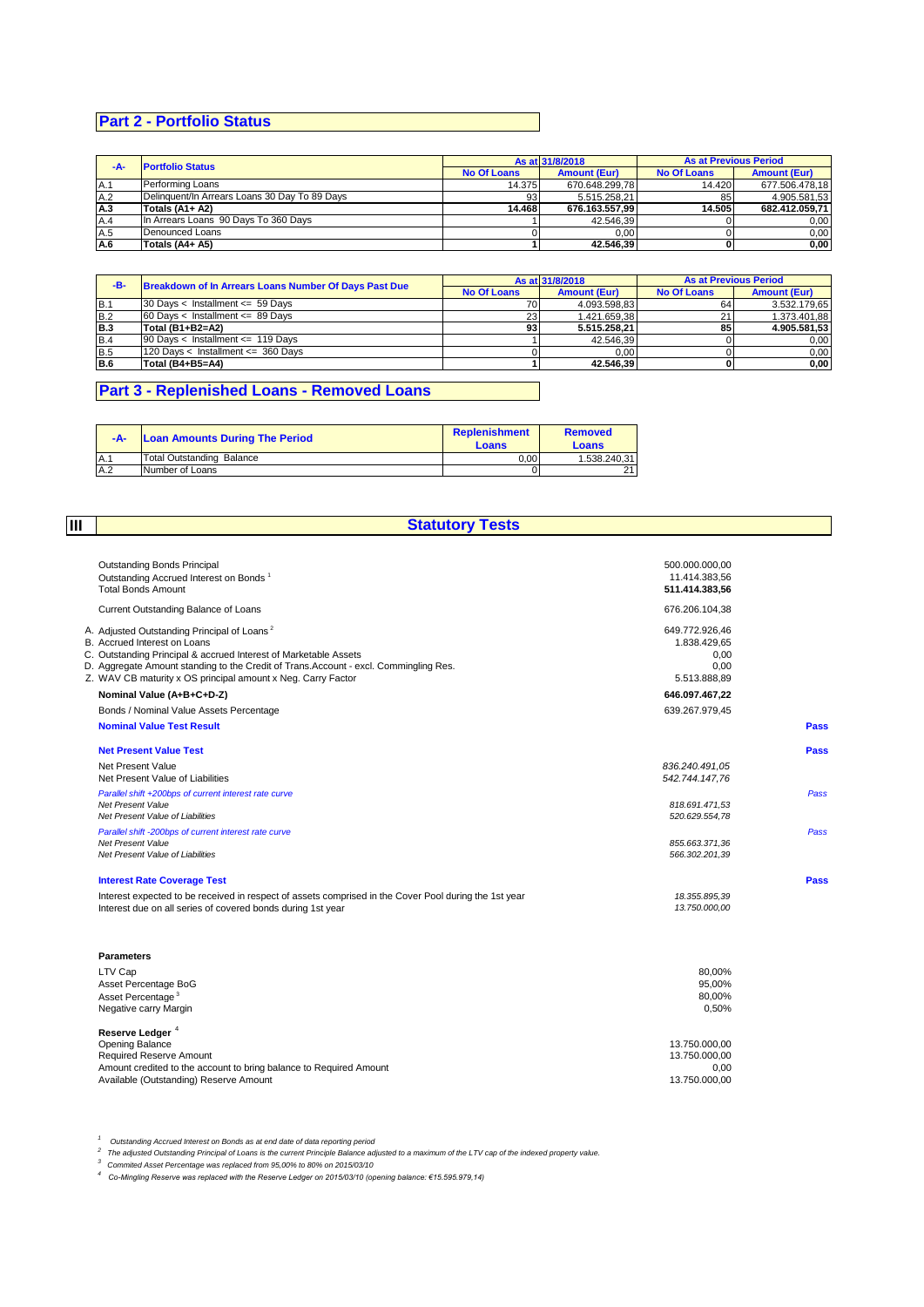# **Part 2 - Portfolio Status**

| -A- | <b>Portfolio Status</b>                       | As at 31/8/2018 |                     | <b>As at Previous Period</b> |                     |
|-----|-----------------------------------------------|-----------------|---------------------|------------------------------|---------------------|
|     |                                               |                 | <b>Amount (Eur)</b> | <b>No Of Loans</b>           | <b>Amount (Eur)</b> |
| A.1 | Performing Loans                              | 14.375          | 670.648.299.78      | 14.420                       | 677.506.478.18      |
| A.2 | Delinguent/In Arrears Loans 30 Day To 89 Days | 93              | 5.515.258,21        | 85                           | 4.905.581.53        |
| A.3 | Totals $(A1 + A2)$                            | 14.468          | 676.163.557.99      | 14.505                       | 682.412.059.71      |
| A.4 | In Arrears Loans 90 Days To 360 Days          |                 | 42.546.39           |                              | 0.00                |
| A.5 | Denounced Loans                               |                 | 0.00                |                              | 0.00                |
| A.6 | Totals (A4+ A5)                               |                 | 42.546.39           |                              | 0,00                |

| -B-  | Breakdown of In Arrears Loans Number Of Days Past Due | As at 31/8/2018    |                     | <b>As at Previous Period</b> |                     |
|------|-------------------------------------------------------|--------------------|---------------------|------------------------------|---------------------|
|      |                                                       | <b>No Of Loans</b> | <b>Amount (Eur)</b> | <b>No Of Loans</b>           | <b>Amount (Eur)</b> |
| IB.1 | 30 Days < Installment $\leq$ 59 Days                  | 70                 | 4.093.598.83        | 64                           | 3.532.179.65        |
| B.2  | $60$ Davs < Installment <= 89 Davs                    | 23                 | 1.421.659.38        | 21                           | 1.373.401.88        |
| IB.3 | Total (B1+B2=A2)                                      | 93                 | 5.515.258.21        | 85                           | 4.905.581.53        |
| B.4  | 90 Days < Installment <= 119 Days                     |                    | 42.546.39           |                              | 0.00                |
| B.5  | 120 Days < Installment <= 360 Days                    |                    | 0.00                |                              | 0,00                |
| B.6  | Total (B4+B5=A4)                                      |                    | 42.546.39           |                              | 0.00                |

# **Part 3 - Replenished Loans - Removed Loans**

| $-A-$ | <b>Loan Amounts During The Period</b> | <b>Replenishment</b><br>Loans | <b>Removed</b><br><b>Loans</b> |
|-------|---------------------------------------|-------------------------------|--------------------------------|
| A.1   | Total Outstanding Balance             | 0.00                          | 1.538.240.31                   |
| A.2   | Number of Loans                       |                               |                                |

**III**

# **Statutory Tests**

| <b>Outstanding Bonds Principal</b>                                                                    | 500.000.000,00 |      |
|-------------------------------------------------------------------------------------------------------|----------------|------|
| Outstanding Accrued Interest on Bonds <sup>1</sup>                                                    | 11.414.383.56  |      |
| <b>Total Bonds Amount</b>                                                                             | 511.414.383,56 |      |
| Current Outstanding Balance of Loans                                                                  | 676.206.104,38 |      |
| A. Adjusted Outstanding Principal of Loans <sup>2</sup>                                               | 649.772.926,46 |      |
| B. Accrued Interest on Loans                                                                          | 1.838.429,65   |      |
| C. Outstanding Principal & accrued Interest of Marketable Assets                                      | 0.00           |      |
| D. Aggregate Amount standing to the Credit of Trans. Account - excl. Commingling Res.                 | 0.00           |      |
| Z. WAV CB maturity x OS principal amount x Neg. Carry Factor                                          | 5.513.888,89   |      |
| Nominal Value (A+B+C+D-Z)                                                                             | 646.097.467,22 |      |
| Bonds / Nominal Value Assets Percentage                                                               | 639.267.979,45 |      |
| <b>Nominal Value Test Result</b>                                                                      |                | Pass |
| <b>Net Present Value Test</b>                                                                         |                | Pass |
| Net Present Value                                                                                     | 836.240.491.05 |      |
| Net Present Value of Liabilities                                                                      | 542.744.147.76 |      |
| Parallel shift +200bps of current interest rate curve                                                 |                | Pass |
| Net Present Value                                                                                     | 818.691.471,53 |      |
| Net Present Value of Liabilities                                                                      | 520.629.554,78 |      |
| Parallel shift -200bps of current interest rate curve                                                 |                | Pass |
| Net Present Value                                                                                     | 855.663.371,36 |      |
| Net Present Value of Liabilities                                                                      | 566.302.201,39 |      |
| <b>Interest Rate Coverage Test</b>                                                                    |                | Pass |
| Interest expected to be received in respect of assets comprised in the Cover Pool during the 1st year | 18.355.895,39  |      |
| Interest due on all series of covered bonds during 1st year                                           | 13.750.000,00  |      |
| <b>Parameters</b>                                                                                     |                |      |
| LTV Cap                                                                                               | 80,00%         |      |
| Asset Percentage BoG                                                                                  | 95,00%         |      |
| Asset Percentage <sup>3</sup>                                                                         | 80.00%         |      |
| Negative carry Margin                                                                                 | 0,50%          |      |
| Reserve Ledger <sup>4</sup>                                                                           |                |      |
| <b>Opening Balance</b>                                                                                | 13.750.000,00  |      |
| <b>Required Reserve Amount</b>                                                                        | 13.750.000,00  |      |
| Amount credited to the account to bring balance to Required Amount                                    | 0,00           |      |
| Available (Outstanding) Reserve Amount                                                                | 13.750.000.00  |      |

*<sup>1</sup>Outstanding Accrued Interest on Bonds as at end date of data reporting period*

<sup>2</sup> The adjusted Outstanding Principal of Loans is the current Principle Balance adjusted to a maximum of the LTV cap of the indexed property value.<br><sup>3</sup> Commited Asset Percentage was replaced from 95,00% to 80% on 2015/03/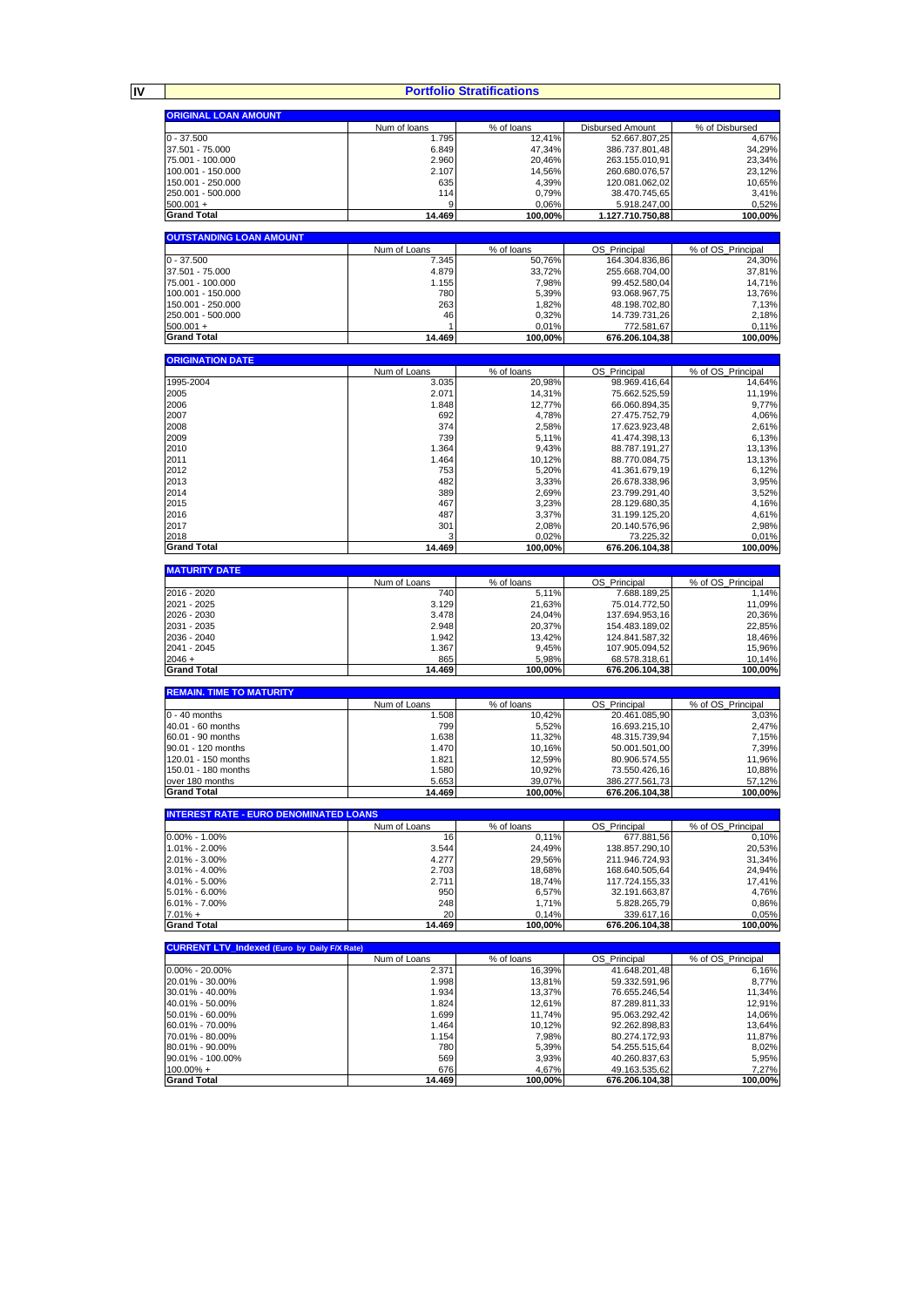**IV**

#### **Portfolio Stratifications**

|                                                     |                 | <b>Portfolio Stratifications</b> |                                  |                   |
|-----------------------------------------------------|-----------------|----------------------------------|----------------------------------|-------------------|
|                                                     |                 |                                  |                                  |                   |
| <b>ORIGINAL LOAN AMOUNT</b>                         | Num of Ioans    | % of loans                       | <b>Disbursed Amount</b>          | % of Disbursed    |
| $0 - 37.500$                                        | 1.795           | 12,41%                           | 52.667.807,25                    | 4,67%             |
| 37.501 - 75.000                                     | 6.849           | 47,34%                           | 386.737.801,48                   | 34,29%            |
| 75.001 - 100.000                                    | 2.960           | 20.46%                           | 263.155.010,91                   | 23,34%            |
| 100.001 - 150.000<br>150.001 - 250.000              | 2.107<br>635    | 14,56%<br>4,39%                  | 260.680.076,57<br>120.081.062,02 | 23,12%<br>10,65%  |
| 250.001 - 500.000                                   | 114             | 0,79%                            | 38.470.745,65                    | 3,41%             |
| $500.001 +$                                         | 9               | 0,06%                            | 5.918.247,00                     | 0,52%             |
| <b>Grand Total</b>                                  | 14.469          | 100,00%                          | 1.127.710.750,88                 | 100,00%           |
| <b>OUTSTANDING LOAN AMOUNT</b>                      |                 |                                  |                                  |                   |
|                                                     | Num of Loans    | % of loans                       | OS_Principal                     | % of OS_Principal |
| $0 - 37.500$                                        | 7.345           | 50,76%                           | 164.304.836,86                   | 24,30%            |
| 37.501 - 75.000                                     | 4.879           | 33,72%                           | 255.668.704,00                   | 37,81%            |
| 75.001 - 100.000<br>100.001 - 150.000               | 1.155<br>780    | 7,98%<br>5,39%                   | 99.452.580,04<br>93.068.967,75   | 14,71%<br>13,76%  |
| 150.001 - 250.000                                   | 263             | 1,82%                            | 48.198.702,80                    | 7,13%             |
| 250.001 - 500.000                                   | 46              | 0,32%                            | 14.739.731,26                    | 2,18%             |
| $500.001 +$                                         |                 | 0,01%                            | 772.581,67                       | 0,11%             |
| <b>Grand Total</b>                                  | 14.469          | 100,00%                          | 676.206.104,38                   | 100,00%           |
| <b>ORIGINATION DATE</b>                             |                 |                                  |                                  |                   |
|                                                     | Num of Loans    | % of loans                       | OS_Principal                     | % of OS_Principal |
| 1995-2004                                           | 3.035           | 20,98%                           | 98.969.416,64                    | 14,64%            |
| 2005<br>2006                                        | 2.071<br>1.848  | 14,31%<br>12,77%                 | 75.662.525,59<br>66.060.894,35   | 11,19%<br>9,77%   |
| 2007                                                | 692             | 4,78%                            | 27.475.752,79                    | 4,06%             |
| 2008                                                | 374             | 2,58%                            | 17.623.923,48                    | 2,61%             |
| 2009                                                | 739             | 5,11%                            | 41.474.398,13                    | 6,13%             |
| 2010                                                | 1.364           | 9,43%                            | 88.787.191,27                    | 13,13%            |
| 2011<br>2012                                        | 1.464<br>753    | 10,12%<br>5,20%                  | 88.770.084,75<br>41.361.679,19   | 13,13%<br>6,12%   |
| 2013                                                | 482             | 3,33%                            | 26.678.338.96                    | 3,95%             |
| 2014                                                | 389             | 2,69%                            | 23.799.291,40                    | 3,52%             |
| 2015                                                | 467             | 3,23%                            | 28.129.680,35                    | 4,16%             |
| 2016<br>2017                                        | 487<br>301      | 3,37%<br>2,08%                   | 31.199.125,20                    | 4,61%             |
| 2018                                                | 3               | 0,02%                            | 20.140.576,96<br>73.225,32       | 2,98%<br>0,01%    |
| <b>Grand Total</b>                                  | 14.469          | 100,00%                          | 676.206.104,38                   | 100,00%           |
|                                                     |                 |                                  |                                  |                   |
| <b>MATURITY DATE</b>                                | Num of Loans    | % of loans                       | OS_Principal                     | % of OS_Principal |
| 2016 - 2020                                         | 740             | 5,11%                            | 7.688.189,25                     | 1,14%             |
| 2021 - 2025                                         | 3.129           | 21,63%                           | 75.014.772,50                    | 11,09%            |
| 2026 - 2030                                         | 3.478           | 24,04%                           | 137.694.953,16                   | 20,36%            |
| 2031 - 2035<br>2036 - 2040                          | 2.948<br>1.942  | 20,37%<br>13,42%                 | 154.483.189,02<br>124.841.587,32 | 22,85%<br>18,46%  |
| 2041 - 2045                                         | 1.367           | 9,45%                            | 107.905.094,52                   | 15,96%            |
| $2046 +$                                            | 865             | 5,98%                            | 68.578.318,61                    | 10,14%            |
| <b>Grand Total</b>                                  | 14.469          | 100,00%                          | 676.206.104,38                   | 100,00%           |
| <b>REMAIN. TIME TO MATURITY</b>                     |                 |                                  |                                  |                   |
|                                                     | Num of Loans    | % of loans                       | OS_Principal                     | % of OS_Principal |
| $0 - 40$ months                                     | 1.508           | 10.42%                           | 20.461.085,90                    | 3,03%             |
| 40.01 - 60 months<br>60.01 - 90 months              | 799<br>1.638    | 5,52%<br>11,32%                  | 16.693.215,10<br>48.315.739,94   | 2,47%<br>7,15%    |
| 90.01 - 120 months                                  | 1.470           | 10,16%                           | 50.001.501,00                    | 7,39%             |
| 120.01 - 150 months                                 | 1.821           | 12,59%                           | 80.906.574,55                    | 11,96%            |
| 150.01 - 180 months                                 | 1.580           | 10,92%                           | 73.550.426.16                    | 10,88%            |
| over 180 months<br><b>Grand Total</b>               | 5.653<br>14.469 | 39.07%<br>100,00%                | 386.277.561,73<br>676.206.104,38 | 57,12%<br>100,00% |
|                                                     |                 |                                  |                                  |                   |
| <b>INTEREST RATE - EURO DENOMINATED LOANS</b>       |                 |                                  |                                  |                   |
|                                                     | Num of Loans    | % of loans                       | OS_Principal                     | % of OS Principal |
| $0.00\% - 1.00\%$<br>1.01% - 2.00%                  | 16<br>3.544     | 0,11%<br>24,49%                  | 677.881,56<br>138.857.290,10     | 0,10%<br>20,53%   |
| 2.01% - 3.00%                                       | 4.277           | 29,56%                           | 211.946.724,93                   | 31,34%            |
| 3.01% - 4.00%                                       | 2.703           | 18,68%                           | 168.640.505,64                   | 24,94%            |
| 4.01% - 5.00%                                       | 2.711           | 18,74%                           | 117.724.155,33                   | 17,41%            |
| 5.01% - 6.00%<br>$6.01\% - 7.00\%$                  | 950<br>248      | 6,57%<br>1,71%                   | 32.191.663,87<br>5.828.265,79    | 4,76%<br>0,86%    |
| $7.01% +$                                           | 20              | 0,14%                            | 339.617,16                       | 0,05%             |
| <b>Grand Total</b>                                  | 14.469          | 100,00%                          | 676.206.104,38                   | 100,00%           |
|                                                     |                 |                                  |                                  |                   |
| <b>CURRENT LTV_Indexed (Euro by Daily F/X Rate)</b> | Num of Loans    | % of loans                       | OS_Principal                     | % of OS_Principal |
| $0.00\% - 20.00\%$                                  | 2.371           | 16,39%                           | 41.648.201,48                    | 6,16%             |
| 20.01% - 30.00%                                     | 1.998           | 13,81%                           | 59.332.591,96                    | 8,77%             |
| 30.01% - 40.00%<br>40.01% - 50.00%                  | 1.934<br>1.824  | 13,37%<br>12,61%                 | 76.655.246,54<br>87.289.811,33   | 11,34%<br>12,91%  |
| 50.01% - 60.00%                                     | 1.699           | 11,74%                           | 95.063.292,42                    | 14,06%            |
| 60.01% - 70.00%                                     | 1.464           | 10,12%                           | 92.262.898,83                    | 13,64%            |
| 70.01% - 80.00%                                     | 1.154           | 7,98%                            | 80.274.172,93                    | 11,87%            |
| 80.01% - 90.00%<br>90.01% - 100.00%                 | 780<br>569      | 5,39%<br>3,93%                   | 54.255.515,64<br>40.260.837,63   | 8,02%<br>5,95%    |
| $100.00\% +$                                        | 676             | 4,67%                            | 49.163.535,62                    | 7,27%             |
| <b>Grand Total</b>                                  | 14.469          | 100,00%                          | 676.206.104,38                   | 100,00%           |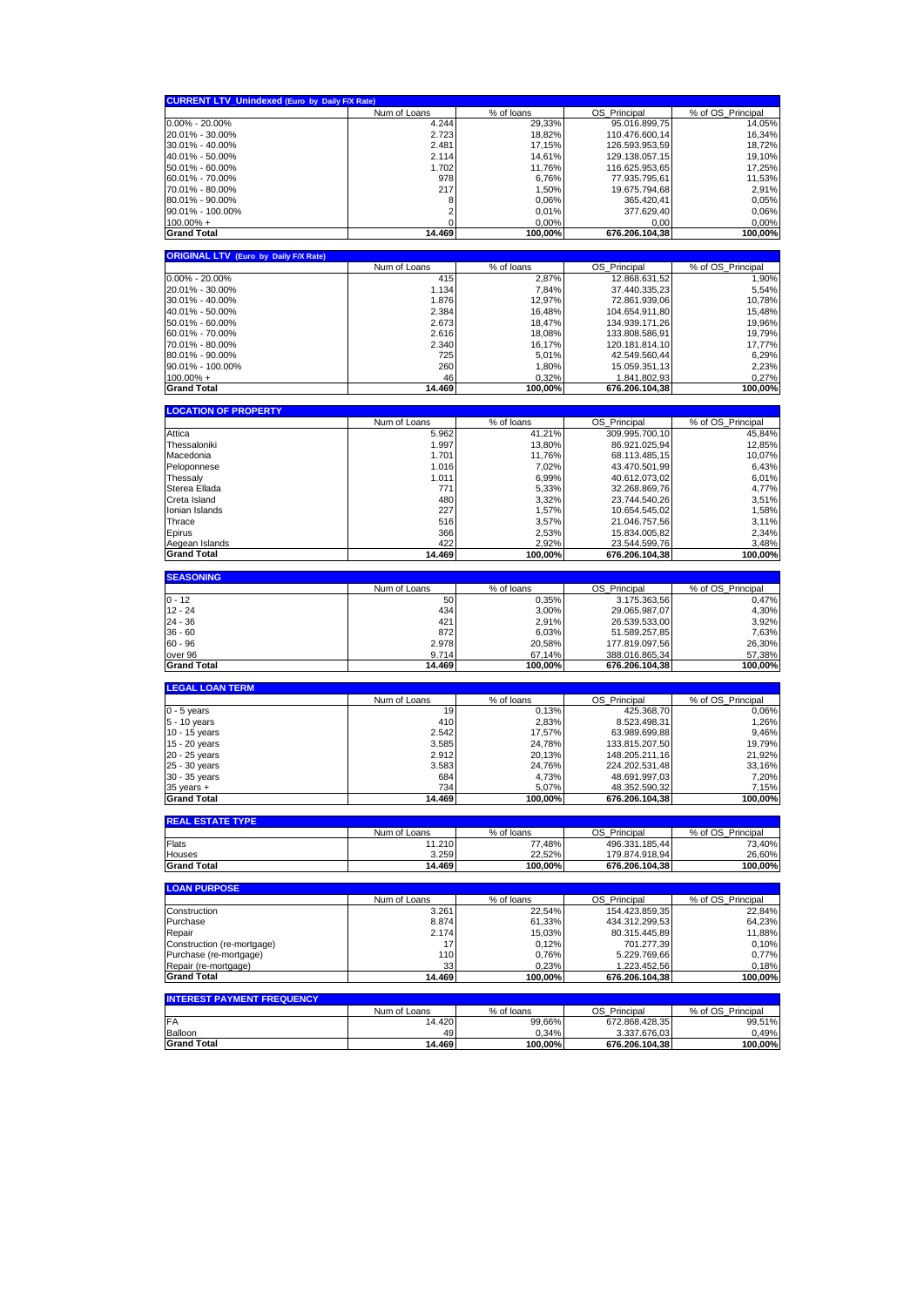| <b>CURRENT LTV Unindexed (Euro by Daily F/X Rate)</b> |              |                  |                                 |                              |
|-------------------------------------------------------|--------------|------------------|---------------------------------|------------------------------|
|                                                       | Num of Loans | % of loans       | OS_Principal                    | % of OS_Principal            |
| $0.00\% - 20.00\%$                                    | 4.244        | 29,33%           | 95.016.899,75                   | 14,05%                       |
| 20.01% - 30.00%                                       | 2.723        | 18,82%           | 110.476.600,14                  | 16,34%                       |
| 30.01% - 40.00%                                       | 2.481        | 17,15%           | 126.593.953.59                  | 18,72%                       |
| 40.01% - 50.00%                                       | 2.114        | 14,61%           | 129.138.057,15                  | 19,10%                       |
| 50.01% - 60.00%                                       | 1.702        | 11,76%           | 116.625.953,65                  | 17,25%                       |
| 60.01% - 70.00%                                       | 978          | 6,76%            | 77.935.795,61                   | 11,53%                       |
| 70.01% - 80.00%                                       | 217          | 1,50%            | 19.675.794,68                   | 2,91%                        |
| 80.01% - 90.00%                                       | 8            | 0,06%            | 365.420,41                      | 0,05%                        |
| 90.01% - 100.00%                                      | 2            | 0,01%            | 377.629,40                      | 0,06%                        |
| $100.00\% +$                                          | 0            | 0,00%            | 0,00                            | 0,00%                        |
| <b>Grand Total</b>                                    | 14.469       | 100,00%          | 676.206.104,38                  | 100,00%                      |
|                                                       |              |                  |                                 |                              |
| <b>ORIGINAL LTV</b><br>(Euro by Daily F/X Rate)       | Num of Loans | % of loans       | OS_Principal                    | % of OS_Principal            |
| $0.00\% - 20.00\%$                                    | 415          | 2,87%            | 12.868.631,52                   | 1,90%                        |
| 20.01% - 30.00%                                       | 1.134        | 7,84%            | 37.440.335,23                   | 5,54%                        |
| 30.01% - 40.00%                                       | 1.876        | 12,97%           | 72.861.939,06                   | 10,78%                       |
| 40.01% - 50.00%                                       | 2.384        | 16,48%           | 104.654.911,80                  | 15,48%                       |
| 50.01% - 60.00%                                       | 2.673        | 18,47%           | 134.939.171,26                  | 19,96%                       |
| 60.01% - 70.00%                                       | 2.616        | 18,08%           |                                 | 19,79%                       |
|                                                       | 2.340        |                  | 133.808.586,91                  |                              |
| 70.01% - 80.00%                                       |              | 16,17%           | 120.181.814,10<br>42.549.560,44 | 17,77%                       |
| 80.01% - 90.00%                                       | 725          | 5,01%            |                                 | 6,29%                        |
| 90.01% - 100.00%                                      | 260<br>46    | 1,80%            | 15.059.351,13                   | 2,23%                        |
| $100.00\% +$                                          |              | 0,32%<br>100,00% | 1.841.802,93                    | 0,27%<br>100,00%             |
| <b>Grand Total</b>                                    | 14.469       |                  | 676.206.104,38                  |                              |
| <b>LOCATION OF PROPERTY</b>                           |              |                  |                                 |                              |
|                                                       | Num of Loans | % of loans       | OS Principal                    | % of OS Principal            |
| Attica                                                | 5.962        | 41,21%           | 309.995.700,10                  | 45,84%                       |
| Thessaloniki                                          | 1.997        | 13,80%           | 86.921.025,94                   | 12,85%                       |
| Macedonia                                             | 1.701        | 11,76%           | 68.113.485,15                   | 10,07%                       |
| Peloponnese                                           | 1.016        | 7,02%            | 43.470.501,99                   | 6,43%                        |
| Thessaly                                              | 1.011        | 6,99%            | 40.612.073,02                   | 6,01%                        |
| Sterea Ellada                                         | 771          | 5,33%            | 32.268.869,76                   | 4,77%                        |
| Creta Island                                          | 480          | 3,32%            | 23.744.540,26                   | 3,51%                        |
| Ionian Islands                                        | 227          | 1,57%            | 10.654.545,02                   | 1,58%                        |
| Thrace                                                | 516          | 3,57%            | 21.046.757,56                   | 3,11%                        |
| Epirus                                                | 366          | 2,53%            | 15.834.005,82                   | 2,34%                        |
| Aegean Islands                                        | 422          | 2,92%            | 23.544.599,76                   | 3,48%                        |
| <b>Grand Total</b>                                    | 14.469       | 100,00%          | 676.206.104,38                  | 100,00%                      |
|                                                       |              |                  |                                 |                              |
|                                                       |              |                  |                                 |                              |
| <b>SEASONING</b>                                      |              |                  |                                 |                              |
|                                                       | Num of Loans | % of loans       | OS_Principal                    | % of OS_Principal            |
| $0 - 12$                                              | 50           | 0,35%            | 3.175.363,56                    | 0,47%                        |
| $12 - 24$                                             | 434          | 3,00%            | 29.065.987,07                   | 4,30%                        |
| $24 - 36$                                             | 421          | 2,91%            | 26.539.533,00                   | 3,92%                        |
| $36 - 60$                                             | 872          | 6,03%            | 51.589.257,85                   | 7,63%                        |
| $60 - 96$                                             | 2.978        | 20,58%           | 177.819.097,56                  | 26,30%                       |
| over 96                                               | 9.714        | 67,14%           | 388.016.865,34                  | 57,38%                       |
| <b>Grand Total</b>                                    | 14.469       | 100,00%          | 676.206.104,38                  | 100,00%                      |
| <b>LEGAL LOAN TERM</b>                                |              |                  |                                 |                              |
|                                                       | Num of Loans | % of loans       | OS Principal                    | % of OS Principal            |
| $0 - 5$ years                                         | 19           | 0,13%            | 425.368,70                      | 0,06%                        |
| $5 - 10$ years                                        | 410          | 2,83%            | 8.523.498,31                    | 1,26%                        |
| 10 - 15 years                                         | 2.542        | 17,57%           | 63.989.699.88                   | 9,46%                        |
| 15 - 20 years                                         | 3.585        | 24,78%           | 133.815.207,50                  | 19,79%                       |
| 20 - 25 years                                         | 2.912        | 20,13%           | 148.205.211,16                  | 21,92%                       |
| 25 - 30 years                                         | 3.583        | 24,76%           | 224.202.531,48                  | 33,16%                       |
| 30 - 35 years                                         | 684          | 4,73%            | 48.691.997,03                   | 7,20%                        |
| $35$ years $+$                                        | 734          | 5,07%            | 48.352.590,32                   | 7,15%                        |
| <b>Grand Total</b>                                    | 14.469       | 100,00%          | 676.206.104,38                  | 100,00%                      |
| <b>REAL ESTATE TYPE</b>                               |              |                  |                                 |                              |
|                                                       | Num of Loans | % of loans       | OS_Principal                    | % of OS_Principal            |
| Flats                                                 | 11.210       | 77,48%           | 496.331.185,44                  | 73,40%                       |
| Houses                                                | 3.259        | 22,52%           | 179.874.918,94                  | 26,60%                       |
| <b>Grand Total</b>                                    | 14.469       | 100,00%          | 676.206.104,38                  |                              |
|                                                       |              |                  |                                 |                              |
| <b>LOAN PURPOSE</b>                                   |              |                  |                                 |                              |
|                                                       | Num of Loans | % of loans       | OS Principal                    | 100,00%<br>% of OS Principal |
| Construction                                          | 3.261        | 22,54%           | 154.423.859,35                  | 22,84%                       |
| Purchase                                              | 8.874        | 61,33%           | 434.312.299,53                  | 64,23%                       |
| Repair                                                | 2.174        | 15,03%           | 80.315.445,89                   | 11,88%                       |
| Construction (re-mortgage)                            | 17           | 0,12%            | 701.277,39                      | 0,10%                        |
| Purchase (re-mortgage)                                | 110          | 0,76%            | 5.229.769,66                    | 0,77%                        |
| Repair (re-mortgage)                                  | 33           | 0,23%            | 1.223.452,56                    | 0,18%                        |
| <b>Grand Total</b>                                    | 14.469       | 100,00%          | 676.206.104,38                  |                              |
| <b>INTEREST PAYMENT FREQUENCY</b>                     |              |                  |                                 | 100,00%                      |
|                                                       | Num of Loans | % of loans       | OS_Principal                    | % of OS_Principal            |
| <b>FA</b>                                             | 14.420       | 99,66%           | 672.868.428,35                  | 99,51%                       |
| Balloon<br><b>Grand Total</b>                         | 49<br>14.469 | 0,34%<br>100,00% | 3.337.676,03<br>676.206.104,38  | 0,49%<br>100,00%             |